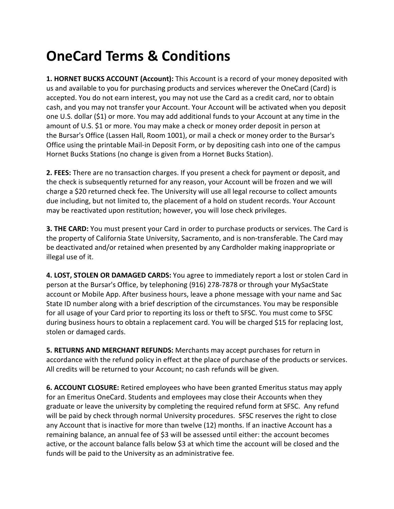## **OneCard Terms & Conditions**

**1. HORNET BUCKS ACCOUNT (Account):** This Account is a record of your money deposited with us and available to you for purchasing products and services wherever the OneCard (Card) is accepted. You do not earn interest, you may not use the Card as a credit card, nor to obtain cash, and you may not transfer your Account. Your Account will be activated when you deposit one U.S. dollar (\$1) or more. You may add additional funds to your Account at any time in the amount of U.S. \$1 or more. You may make a check or money order deposit in person at the Bursar's Office (Lassen Hall, Room 1001), or mail a check or money order to the Bursar's Office using the printable Mail-in Deposit Form, or by depositing cash into one of the campus Hornet Bucks Stations (no change is given from a Hornet Bucks Station).

**2. FEES:** There are no transaction charges. If you present a check for payment or deposit, and the check is subsequently returned for any reason, your Account will be frozen and we will charge a \$20 returned check fee. The University will use all legal recourse to collect amounts due including, but not limited to, the placement of a hold on student records. Your Account may be reactivated upon restitution; however, you will lose check privileges.

**3. THE CARD:** You must present your Card in order to purchase products or services. The Card is the property of California State University, Sacramento, and is non-transferable. The Card may be deactivated and/or retained when presented by any Cardholder making inappropriate or illegal use of it.

**4. LOST, STOLEN OR DAMAGED CARDS:** You agree to immediately report a lost or stolen Card in person at the Bursar's Office, by telephoning (916) 278-7878 or through your MySacState account or Mobile App. After business hours, leave a phone message with your name and Sac State ID number along with a brief description of the circumstances. You may be responsible for all usage of your Card prior to reporting its loss or theft to SFSC. You must come to SFSC during business hours to obtain a replacement card. You will be charged \$15 for replacing lost, stolen or damaged cards.

**5. RETURNS AND MERCHANT REFUNDS:** Merchants may accept purchases for return in accordance with the refund policy in effect at the place of purchase of the products or services. All credits will be returned to your Account; no cash refunds will be given.

**6. ACCOUNT CLOSURE:** Retired employees who have been granted Emeritus status may apply for an Emeritus OneCard. Students and employees may close their Accounts when they graduate or leave the university by completing the required refund form at SFSC. Any refund will be paid by check through normal University procedures. SFSC reserves the right to close any Account that is inactive for more than twelve (12) months. If an inactive Account has a remaining balance, an annual fee of \$3 will be assessed until either: the account becomes active, or the account balance falls below \$3 at which time the account will be closed and the funds will be paid to the University as an administrative fee.